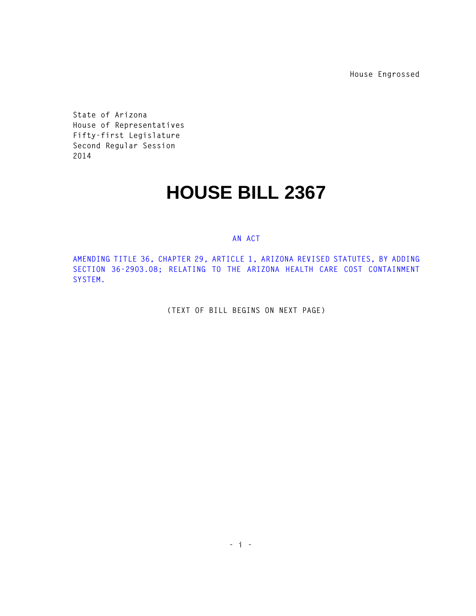**House Engrossed**

**State of Arizona House of Representatives Fifty-first Legislature Second Regular Session 2014** 

## **HOUSE BILL 2367**

## **AN ACT**

**AMENDING TITLE 36, CHAPTER 29, ARTICLE 1, ARIZONA REVISED STATUTES, BY ADDING SECTION 36-2903.08; RELATING TO THE ARIZONA HEALTH CARE COST CONTAINMENT SYSTEM.** 

**(TEXT OF BILL BEGINS ON NEXT PAGE)**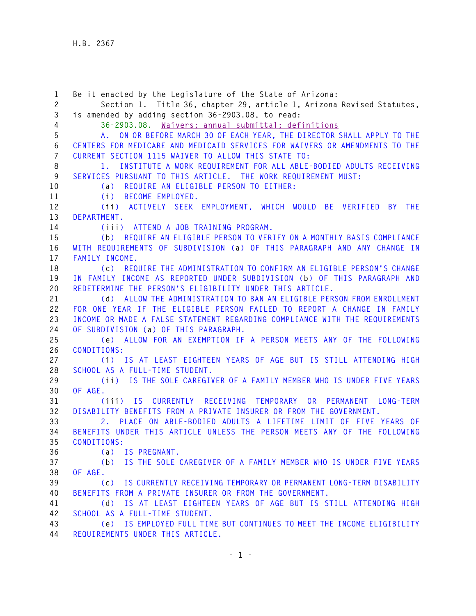**1 Be it enacted by the Legislature of the State of Arizona: 2 Section 1. Title 36, chapter 29, article 1, Arizona Revised Statutes, 3 is amended by adding section 36-2903.08, to read: 4 36-2903.08. Waivers; annual submittal; definitions 5 A. ON OR BEFORE MARCH 30 OF EACH YEAR, THE DIRECTOR SHALL APPLY TO THE 6 CENTERS FOR MEDICARE AND MEDICAID SERVICES FOR WAIVERS OR AMENDMENTS TO THE 7 CURRENT SECTION 1115 WAIVER TO ALLOW THIS STATE TO: 8 1. INSTITUTE A WORK REQUIREMENT FOR ALL ABLE-BODIED ADULTS RECEIVING 9 SERVICES PURSUANT TO THIS ARTICLE. THE WORK REQUIREMENT MUST: 10 (a) REQUIRE AN ELIGIBLE PERSON TO EITHER: 11 (i) BECOME EMPLOYED. 12 (ii) ACTIVELY SEEK EMPLOYMENT, WHICH WOULD BE VERIFIED BY THE 13 DEPARTMENT. 14 (iii) ATTEND A JOB TRAINING PROGRAM. 15 (b) REQUIRE AN ELIGIBLE PERSON TO VERIFY ON A MONTHLY BASIS COMPLIANCE 16 WITH REQUIREMENTS OF SUBDIVISION (a) OF THIS PARAGRAPH AND ANY CHANGE IN 17 FAMILY INCOME. 18 (c) REQUIRE THE ADMINISTRATION TO CONFIRM AN ELIGIBLE PERSON'S CHANGE 19 IN FAMILY INCOME AS REPORTED UNDER SUBDIVISION (b) OF THIS PARAGRAPH AND 20 REDETERMINE THE PERSON'S ELIGIBILITY UNDER THIS ARTICLE. 21 (d) ALLOW THE ADMINISTRATION TO BAN AN ELIGIBLE PERSON FROM ENROLLMENT 22 FOR ONE YEAR IF THE ELIGIBLE PERSON FAILED TO REPORT A CHANGE IN FAMILY 23 INCOME OR MADE A FALSE STATEMENT REGARDING COMPLIANCE WITH THE REQUIREMENTS 24 OF SUBDIVISION (a) OF THIS PARAGRAPH. 25 (e) ALLOW FOR AN EXEMPTION IF A PERSON MEETS ANY OF THE FOLLOWING 26 CONDITIONS: 27 (i) IS AT LEAST EIGHTEEN YEARS OF AGE BUT IS STILL ATTENDING HIGH 28 SCHOOL AS A FULL-TIME STUDENT. 29 (ii) IS THE SOLE CAREGIVER OF A FAMILY MEMBER WHO IS UNDER FIVE YEARS 30 OF AGE. 31 (iii) IS CURRENTLY RECEIVING TEMPORARY OR PERMANENT LONG-TERM 32 DISABILITY BENEFITS FROM A PRIVATE INSURER OR FROM THE GOVERNMENT. 33 2. PLACE ON ABLE-BODIED ADULTS A LIFETIME LIMIT OF FIVE YEARS OF 34 BENEFITS UNDER THIS ARTICLE UNLESS THE PERSON MEETS ANY OF THE FOLLOWING 35 CONDITIONS: 36 (a) IS PREGNANT. 37 (b) IS THE SOLE CAREGIVER OF A FAMILY MEMBER WHO IS UNDER FIVE YEARS 38 OF AGE. 39 (c) IS CURRENTLY RECEIVING TEMPORARY OR PERMANENT LONG-TERM DISABILITY 40 BENEFITS FROM A PRIVATE INSURER OR FROM THE GOVERNMENT. 41 (d) IS AT LEAST EIGHTEEN YEARS OF AGE BUT IS STILL ATTENDING HIGH 42 SCHOOL AS A FULL-TIME STUDENT. 43 (e) IS EMPLOYED FULL TIME BUT CONTINUES TO MEET THE INCOME ELIGIBILITY** 

**44 REQUIREMENTS UNDER THIS ARTICLE.**